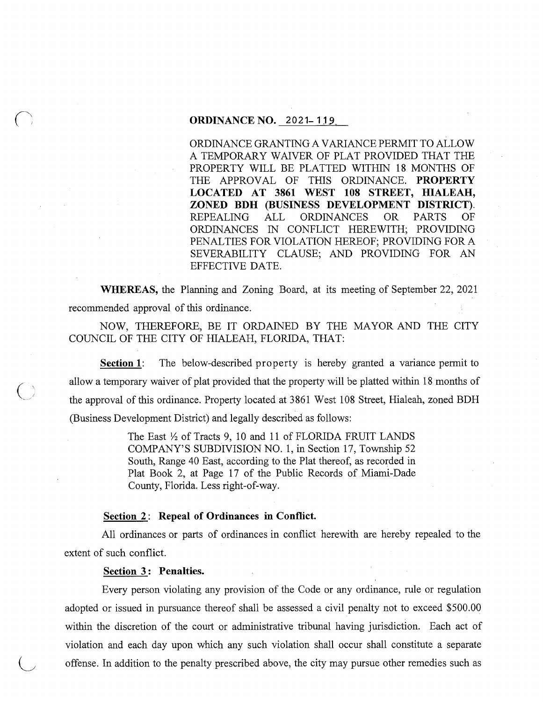## **ORDINANCE NO. 2021-119**

ORDINANCE GRANTING A VARIANCE PERMIT TO ALLOW A TEMPORARY WAIVER OF PLAT PROVIDED THAT THE PROPERTY WILL BE PLATTED WITHIN 18 MONTHS OF THE APPROVAL OF THIS ORDINANCE. **PROPERTY LOCATED AT 3861 WEST 108 STREET, HIALEAH, ZONED BDH (BUSINESS DEVELOPMENT DISTRICT).**  REPEALING ALL ORDINANCES OR PARTS OF ORDINANCES IN CONFLICT HEREWITH; PROVIDING PENALTIES FOR VIOLATION HEREOF; PROVIDING FORA SEVERABILITY CLAUSE; AND PROVIDING FOR AN EFFECTIVE DATE.

**WHEREAS,** the Planning and Zoning Board, at its meeting of September 22, 2021 recommended approval of this ordinance.

NOW, THEREFORE, BE IT ORDAINED BY THE MAYOR AND THE CITY COUNCIL OF THE CITY OF HIALEAH, FLORIDA, THAT:

**Section 1:** The below-described property is hereby granted a variance permit to allow a temporary waiver of plat provided that the property will be platted within 18 months of the approval of this ordinance. Property located at 3861 West 108 Street, Hialeah, zoned BDH (Business Development District) and legally described as follows:

> The East *Yz* of Tracts 9, 10 and 11 of FLORIDA FRUIT LANDS COMPANY'S SUBDIVISION NO. 1, in Section 17, Township 52 South, Range 40 East, according to the Plat thereof, as recorded in Plat Book 2, at Page 17 of the Public Records of Miami-Dade County, Florida. Less right-of-way.

## Section 2: Repeal of Ordinances in Conflict.

All ordinances or parts of ordinances in conflict herewith are hereby repealed to the extent of such conflict.

#### **Section 3 : Penalties.**

 $~\bigcirc$ 

Every person violating any provision of the Code or any ordinance, rule or regulation adopted or issued in pursuance thereof shall be assessed a civil penalty not to exceed \$500.00 within the discretion of the court or administrative tribunal having jurisdiction. Each act of violation and each day upon which any such violation shall occur shall constitute a separate offense. In addition to the penalty prescribed above, the city may pursue other remedies such as